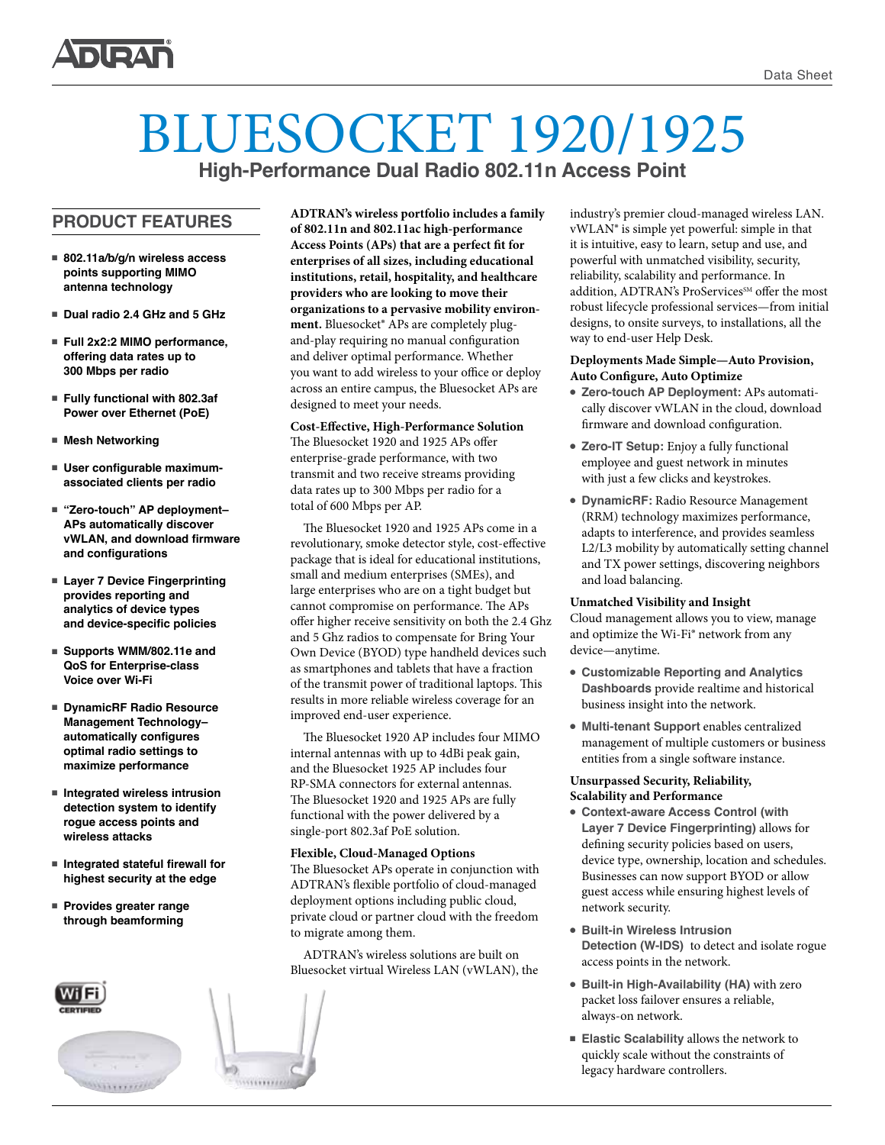

# BLUESOCKET 1920/1925 **High-Performance Dual Radio 802.11n Access Point**

**PRODUCT FEATURES** 

- 802.11a/b/g/n wireless access **points supporting MIMO antenna technology**
- Dual radio 2.4 GHz and 5 GHz
- Full 2x2:2 MIMO performance, **offering data rates up to 300 Mbps per radio**
- **Fully functional with 802.3af Power over Ethernet (PoE)**
- Mesh Networking
- $\blacksquare$  **User configurable maximumassociated clients per radio**
- "Zero-touch" AP deployment-**APs automatically discover vWLAN, and download firmware and configurations**
- Layer 7 Device Fingerprinting **provides reporting and analytics of device types and device-specific policies**
- Supports WMM/802.11e and **QoS for Enterprise-class Voice over Wi-Fi**
- <sup>n</sup> **DynamicRF Radio Resource Management Technology– automatically configures optimal radio settings to maximize performance**
- Integrated wireless intrusion **detection system to identify rogue access points and wireless attacks**
- <sup>n</sup> **Integrated stateful firewall for highest security at the edge**
- **Provides greater range through beamforming**



**ADTRAN's wireless portfolio includes a family of 802.11n and 802.11ac high-performance Access Points (APs) that are a perfect fit for enterprises of all sizes, including educational institutions, retail, hospitality, and healthcare providers who are looking to move their organizations to a pervasive mobility environment.** Bluesocket® APs are completely plugand-play requiring no manual configuration and deliver optimal performance. Whether you want to add wireless to your office or deploy across an entire campus, the Bluesocket APs are designed to meet your needs.

**Cost-Effective, High-Performance Solution**  The Bluesocket 1920 and 1925 APs offer enterprise-grade performance, with two transmit and two receive streams providing data rates up to 300 Mbps per radio for a total of 600 Mbps per AP.

The Bluesocket 1920 and 1925 APs come in a revolutionary, smoke detector style, cost-effective package that is ideal for educational institutions, small and medium enterprises (SMEs), and large enterprises who are on a tight budget but cannot compromise on performance. The APs offer higher receive sensitivity on both the 2.4 Ghz and 5 Ghz radios to compensate for Bring Your Own Device (BYOD) type handheld devices such as smartphones and tablets that have a fraction of the transmit power of traditional laptops. This results in more reliable wireless coverage for an improved end-user experience.

The Bluesocket 1920 AP includes four MIMO internal antennas with up to 4dBi peak gain, and the Bluesocket 1925 AP includes four RP-SMA connectors for external antennas. The Bluesocket 1920 and 1925 APs are fully functional with the power delivered by a single-port 802.3af PoE solution.

#### **Flexible, Cloud-Managed Options**

The Bluesocket APs operate in conjunction with ADTRAN's flexible portfolio of cloud-managed deployment options including public cloud, private cloud or partner cloud with the freedom to migrate among them.

ADTRAN's wireless solutions are built on Bluesocket virtual Wireless LAN (vWLAN), the industry's premier cloud-managed wireless LAN. vWLAN® is simple yet powerful: simple in that it is intuitive, easy to learn, setup and use, and powerful with unmatched visibility, security, reliability, scalability and performance. In addition, ADTRAN's ProServices<sup>SM</sup> offer the most robust lifecycle professional services—from initial designs, to onsite surveys, to installations, all the way to end-user Help Desk.

#### **Deployments Made Simple—Auto Provision, Auto Configure, Auto Optimize**

- **Zero-touch AP Deployment:** APs automatically discover vWLAN in the cloud, download firmware and download configuration.
- **Zero-IT Setup:** Enjoy a fully functional employee and guest network in minutes with just a few clicks and keystrokes.
- **DynamicRF:** Radio Resource Management (RRM) technology maximizes performance, adapts to interference, and provides seamless L2/L3 mobility by automatically setting channel and TX power settings, discovering neighbors and load balancing.

#### **Unmatched Visibility and Insight**

Cloud management allows you to view, manage and optimize the Wi-Fi® network from any device—anytime.

- <sup>l</sup> **Customizable Reporting and Analytics Dashboards** provide realtime and historical business insight into the network.
- <sup>l</sup> **Multi-tenant Support** enables centralized management of multiple customers or business entities from a single software instance.

#### **Unsurpassed Security, Reliability, Scalability and Performance**

- **Context-aware Access Control (with Layer 7 Device Fingerprinting)** allows for defining security policies based on users, device type, ownership, location and schedules. Businesses can now support BYOD or allow guest access while ensuring highest levels of network security.
- **Built-in Wireless Intrusion Detection (W-IDS)** to detect and isolate rogue access points in the network.
- <sup>l</sup> **Built-in High-Availability (HA)** with zero packet loss failover ensures a reliable, always-on network.
- <sup>n</sup> **Elastic Scalability** allows the network to quickly scale without the constraints of legacy hardware controllers.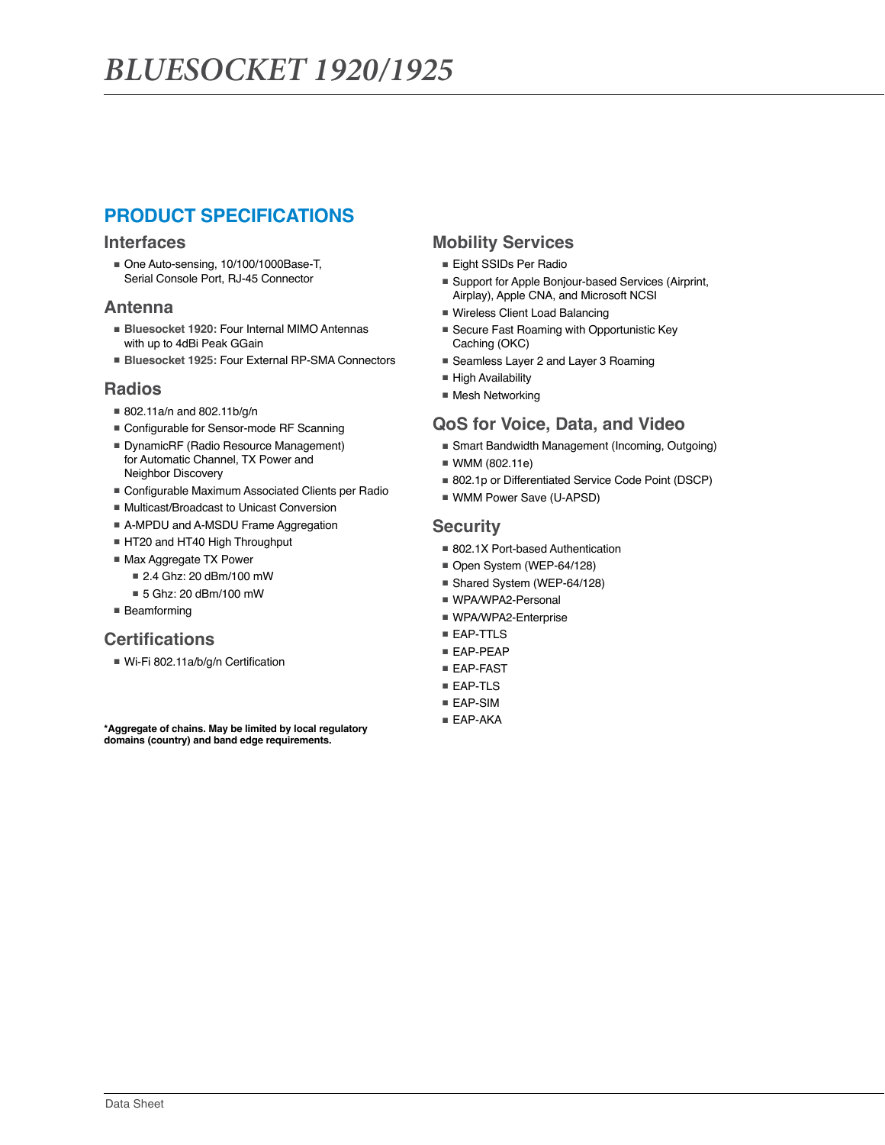# **PRODUCT SPECIFICATIONS**

#### **Interfaces**

■ One Auto-sensing, 10/100/1000Base-T, Serial Console Port, RJ-45 Connector

### **Antenna**

- **Bluesocket 1920:** Four Internal MIMO Antennas with up to 4dBi Peak GGain
- **Bluesocket 1925: Four External RP-SMA Connectors**

## **Radios**

- 802.11a/n and 802.11b/g/n
- Configurable for Sensor-mode RF Scanning
- DynamicRF (Radio Resource Management) for Automatic Channel, TX Power and Neighbor Discovery
- Configurable Maximum Associated Clients per Radio
- Multicast/Broadcast to Unicast Conversion
- A-MPDU and A-MSDU Frame Aggregation
- HT20 and HT40 High Throughput
- Max Aggregate TX Power
	- 2.4 Ghz: 20 dBm/100 mW
	- 5 Ghz: 20 dBm/100 mW
- Beamforming

## **Certifications**

■ Wi-Fi 802.11a/b/g/n Certification

**\*Aggregate of chains. May be limited by local regulatory domains (country) and band edge requirements.**

## **Mobility Services**

- Eight SSIDs Per Radio
- Support for Apple Bonjour-based Services (Airprint, Airplay), Apple CNA, and Microsoft NCSI
- Wireless Client Load Balancing
- Secure Fast Roaming with Opportunistic Key Caching (OKC)
- Seamless Layer 2 and Layer 3 Roaming
- High Availability
- Mesh Networking

## **QoS for Voice, Data, and Video**

- Smart Bandwidth Management (Incoming, Outgoing)
- WMM (802.11e)
- 802.1p or Differentiated Service Code Point (DSCP)
- WMM Power Save (U-APSD)

### **Security**

- 802.1X Port-based Authentication
- Open System (WEP-64/128)
- Shared System (WEP-64/128)
- WPA/WPA2-Personal
- WPA/WPA2-Enterprise
- EAP-TTLS
- EAP-PEAP
- EAP-FAST
- EAP-TLS
- EAP-SIM
- EAP-AKA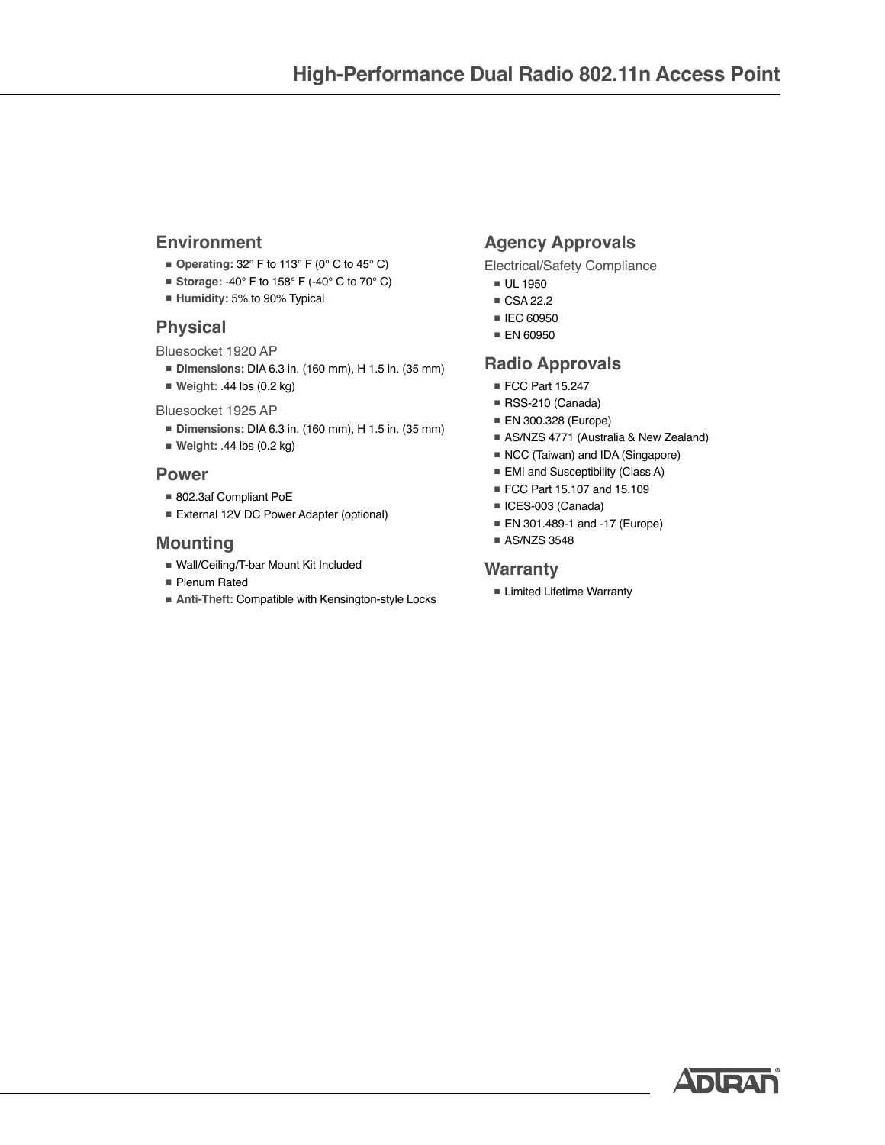## **Environment**

- **Operating:** 32° F to 113° F (0° C to 45° C)
- **Storage: -40° F to 158° F (-40° C to 70° C)**
- **Humidity:** 5% to 90% Typical

## **Physical**

Bluesocket 1920 AP

- **Dimensions:** DIA 6.3 in. (160 mm), H 1.5 in. (35 mm)
- **Weight:** .44 lbs (0.2 kg)

Bluesocket 1925 AP

- **Dimensions:** DIA 6.3 in. (160 mm), H 1.5 in. (35 mm)
- **Weight:** .44 lbs (0.2 kg)

## **Power**

- 802.3af Compliant PoE
- External 12V DC Power Adapter (optional)

## **Mounting**

- Wall/Ceiling/T-bar Mount Kit Included
- Plenum Rated
- **Anti-Theft: Compatible with Kensington-style Locks**

# **Agency Approvals**

Electrical/Safety Compliance

- UL 1950
- CSA 22.2
- IEC 60950
- EN 60950

## **Radio Approvals**

- FCC Part 15.247
- RSS-210 (Canada)
- EN 300.328 (Europe)
- AS/NZS 4771 (Australia & New Zealand)
- NCC (Taiwan) and IDA (Singapore)
- EMI and Susceptibility (Class A)
- FCC Part 15.107 and 15.109
- ICES-003 (Canada)
- EN 301.489-1 and -17 (Europe)
- AS/NZS 3548

### **Warranty**

■ Limited Lifetime Warranty

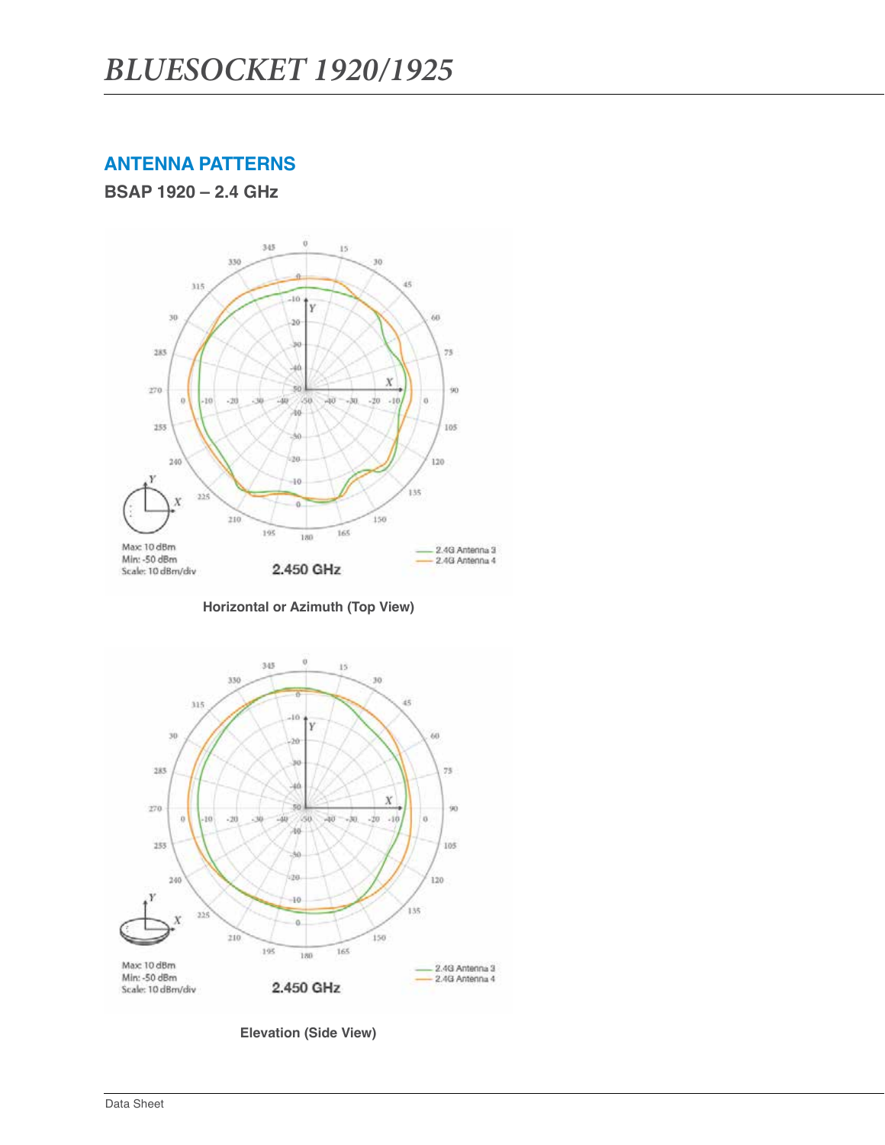# **ANTENNA PATTERNS**

**BSAP 1920 – 2.4 GHz**



**Horizontal or Azimuth (Top View)**



**Elevation (Side View)**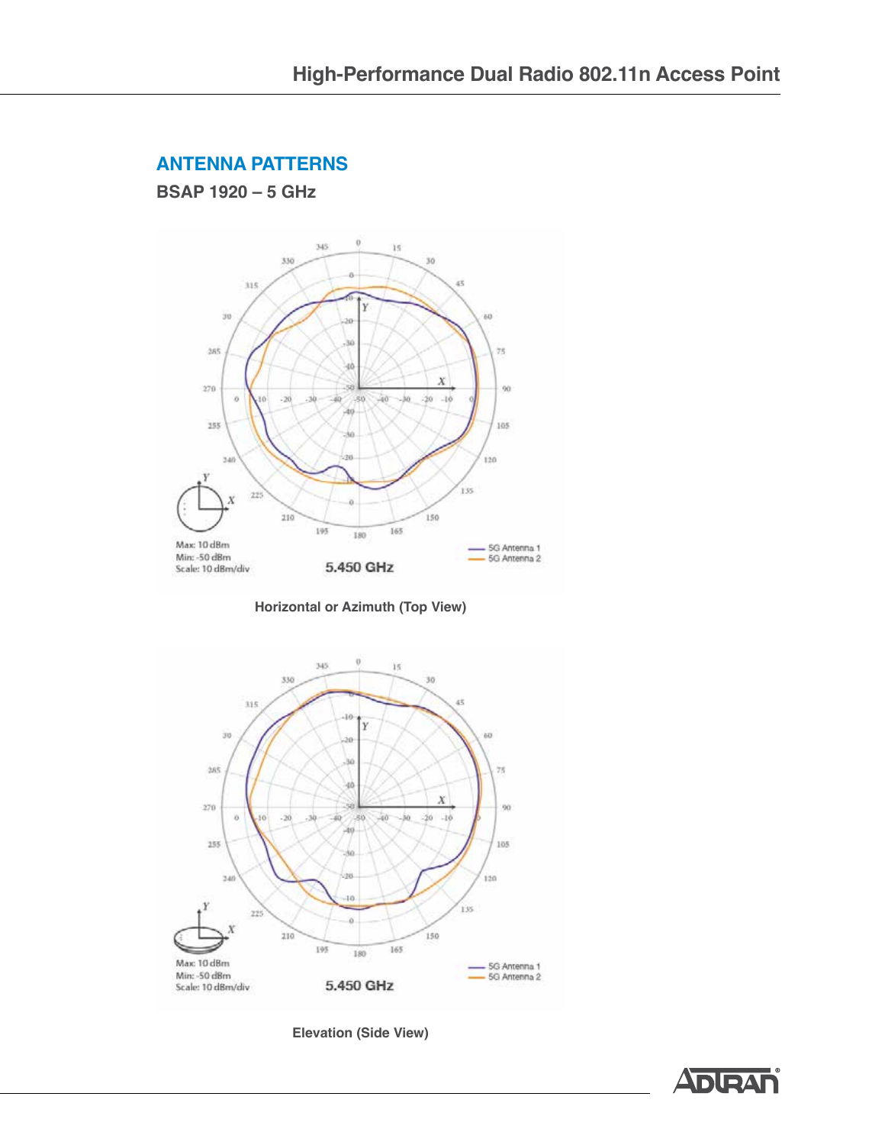## **ANTENNA PATTERNS**

**BSAP 1920 – 5 GHz**



**Horizontal or Azimuth (Top View)**



**Elevation (Side View)**

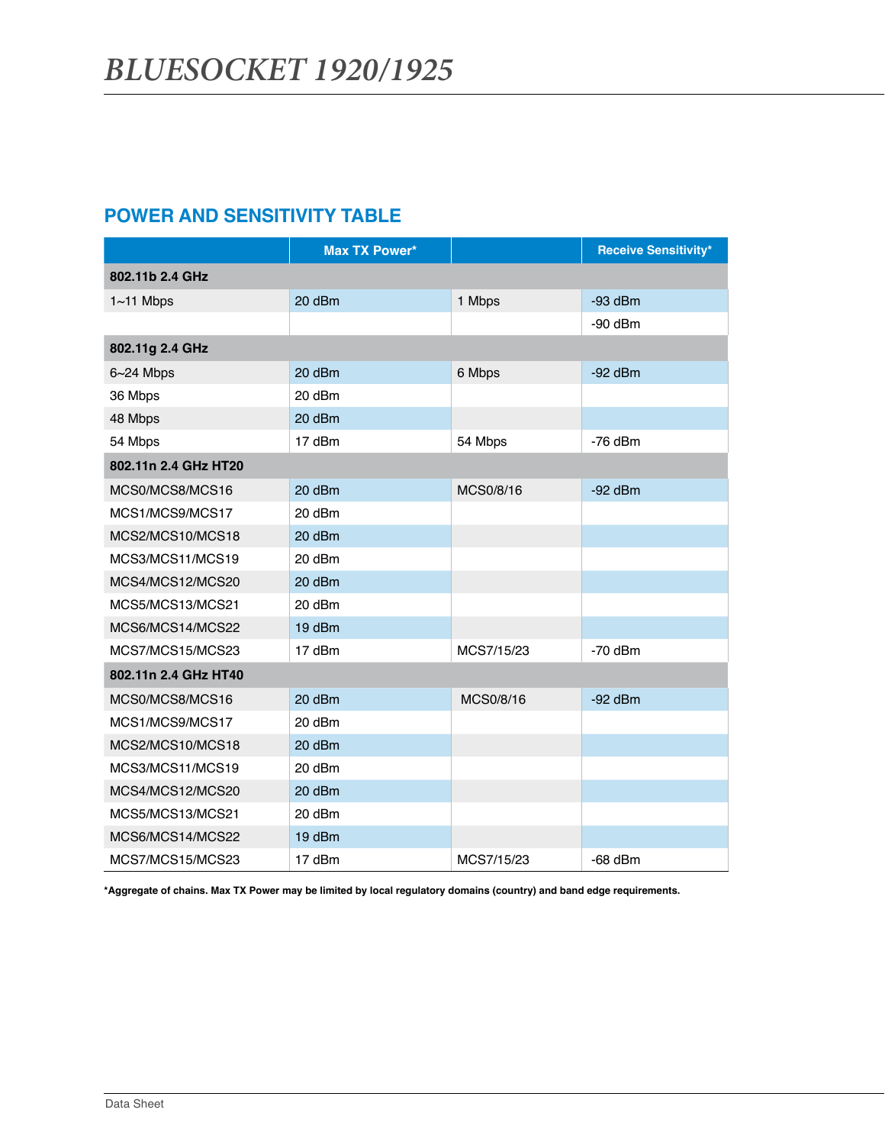# **POWER AND SENSITIVITY TABLE**

|                      | <b>Max TX Power*</b> |            | <b>Receive Sensitivity*</b> |
|----------------------|----------------------|------------|-----------------------------|
| 802.11b 2.4 GHz      |                      |            |                             |
| $1~1$ Mbps           | 20 dBm               | 1 Mbps     | $-93$ dBm                   |
|                      |                      |            | $-90$ dBm                   |
| 802.11g 2.4 GHz      |                      |            |                             |
| $6 - 24$ Mbps        | 20 dBm               | 6 Mbps     | $-92$ dBm                   |
| 36 Mbps              | 20 dBm               |            |                             |
| 48 Mbps              | 20 dBm               |            |                             |
| 54 Mbps              | 17 dBm               | 54 Mbps    | $-76$ dBm                   |
| 802.11n 2.4 GHz HT20 |                      |            |                             |
| MCS0/MCS8/MCS16      | 20 dBm               | MCS0/8/16  | $-92$ dBm                   |
| MCS1/MCS9/MCS17      | 20 dBm               |            |                             |
| MCS2/MCS10/MCS18     | 20 dBm               |            |                             |
| MCS3/MCS11/MCS19     | 20 dBm               |            |                             |
| MCS4/MCS12/MCS20     | 20 dBm               |            |                             |
| MCS5/MCS13/MCS21     | 20 dBm               |            |                             |
| MCS6/MCS14/MCS22     | 19 dBm               |            |                             |
| MCS7/MCS15/MCS23     | 17 dBm               | MCS7/15/23 | $-70$ dBm                   |
| 802.11n 2.4 GHz HT40 |                      |            |                             |
| MCS0/MCS8/MCS16      | 20 dBm               | MCS0/8/16  | $-92$ dBm                   |
| MCS1/MCS9/MCS17      | 20 dBm               |            |                             |
| MCS2/MCS10/MCS18     | 20 dBm               |            |                             |
| MCS3/MCS11/MCS19     | 20 dBm               |            |                             |
| MCS4/MCS12/MCS20     | 20 dBm               |            |                             |
| MCS5/MCS13/MCS21     | 20 dBm               |            |                             |
| MCS6/MCS14/MCS22     | 19 dBm               |            |                             |
| MCS7/MCS15/MCS23     | 17 dBm               | MCS7/15/23 | $-68$ dBm                   |

**\*Aggregate of chains. Max TX Power may be limited by local regulatory domains (country) and band edge requirements.**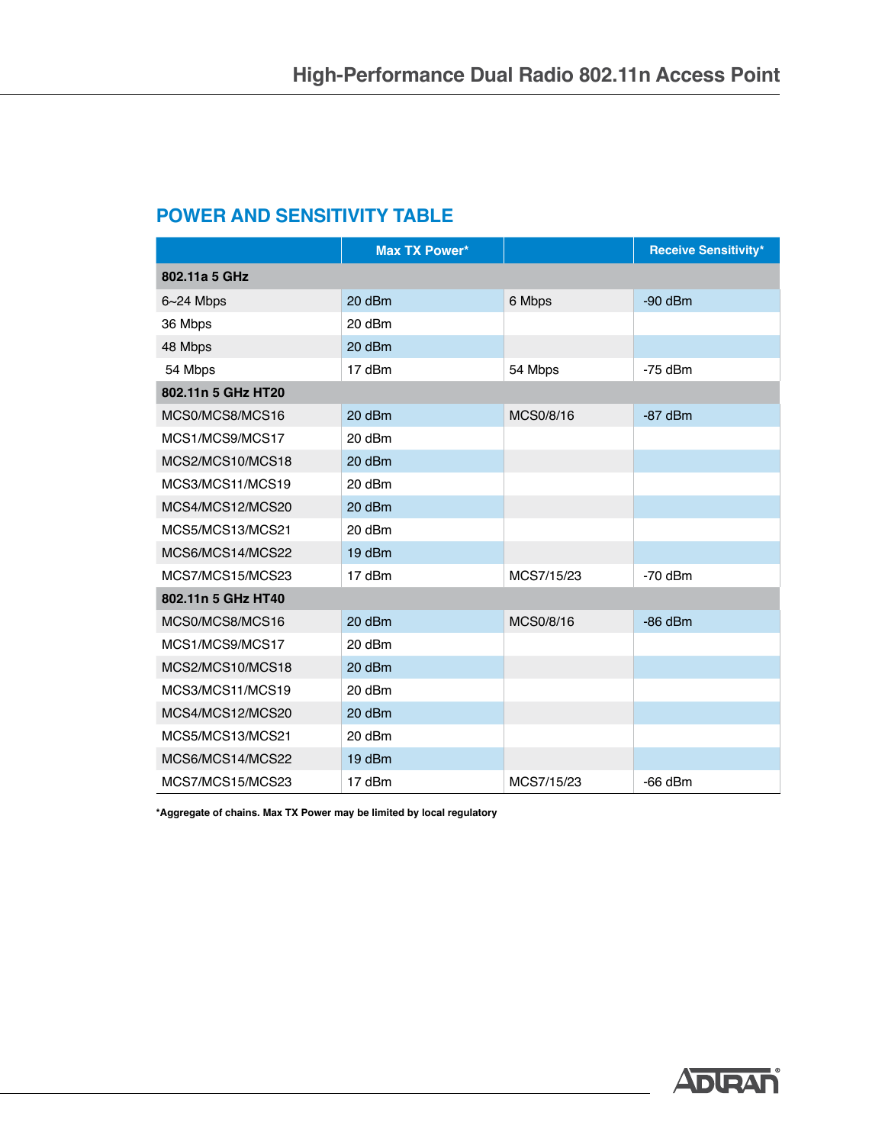# **POWER AND SENSITIVITY TABLE**

|                    | <b>Max TX Power*</b> |            | <b>Receive Sensitivity*</b> |
|--------------------|----------------------|------------|-----------------------------|
| 802.11a 5 GHz      |                      |            |                             |
| $6 - 24$ Mbps      | 20 dBm               | 6 Mbps     | $-90$ dBm                   |
| 36 Mbps            | 20 dBm               |            |                             |
| 48 Mbps            | 20 dBm               |            |                             |
| 54 Mbps            | 17 dBm               | 54 Mbps    | $-75$ dBm                   |
| 802.11n 5 GHz HT20 |                      |            |                             |
| MCS0/MCS8/MCS16    | 20 dBm               | MCS0/8/16  | $-87$ dBm                   |
| MCS1/MCS9/MCS17    | 20 dBm               |            |                             |
| MCS2/MCS10/MCS18   | 20 dBm               |            |                             |
| MCS3/MCS11/MCS19   | 20 dBm               |            |                             |
| MCS4/MCS12/MCS20   | 20 dBm               |            |                             |
| MCS5/MCS13/MCS21   | 20 dBm               |            |                             |
| MCS6/MCS14/MCS22   | 19 dBm               |            |                             |
| MCS7/MCS15/MCS23   | 17 dBm               | MCS7/15/23 | $-70$ dBm                   |
| 802.11n 5 GHz HT40 |                      |            |                             |
| MCS0/MCS8/MCS16    | 20 dBm               | MCS0/8/16  | $-86$ dBm                   |
| MCS1/MCS9/MCS17    | 20 dBm               |            |                             |
| MCS2/MCS10/MCS18   | 20 dBm               |            |                             |
| MCS3/MCS11/MCS19   | 20 dBm               |            |                             |
| MCS4/MCS12/MCS20   | 20 dBm               |            |                             |
| MCS5/MCS13/MCS21   | 20 dBm               |            |                             |
| MCS6/MCS14/MCS22   | 19 dBm               |            |                             |
| MCS7/MCS15/MCS23   | 17 dBm               | MCS7/15/23 | $-66$ dBm                   |

**\*Aggregate of chains. Max TX Power may be limited by local regulatory**